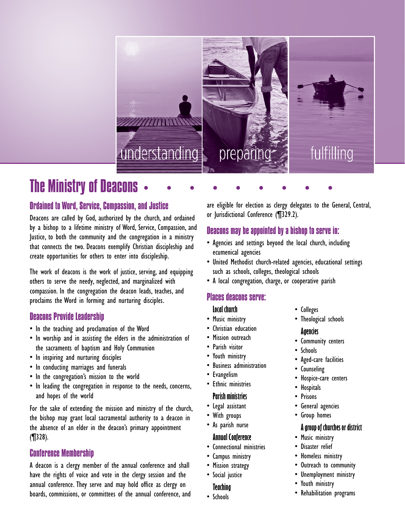

# The Ministry of Deacons

## Ordained to Word, Service, Compassion, and Justice

Deacons are called by God, authorized by the church, and ordained by a bishop to a lifetime ministry of Word, Service, Compassion, and Justice, to both the community and the congregation in a ministry that connects the two. Deacons exemplify Christian discipleship and create opportunities for others to enter into discipleship.

The work of deacons is the work of justice, serving, and equipping others to serve the needy, neglected, and marginalized with compassion. In the congregation the deacon leads, teaches, and proclaims the Word in forming and nurturing disciples.

## Deacons Provide Leadership

- In the teaching and proclamation of the Word
- In worship and in assisting the elders in the administration of the sacraments of baptism and Holy Communion
- In inspiring and nurturing disciples
- In conducting marriages and funerals
- In the congregation's mission to the world
- In leading the congregation in response to the needs, concerns, and hopes of the world

For the sake of extending the mission and ministry of the church, the bishop may grant local sacramental authority to a deacon in the absence of an elder in the deacon's primary appointment (¶328).

## Conference Membership

A deacon is a clergy member of the annual conference and shall have the rights of voice and vote in the clergy session and the annual conference. They serve and may hold office as clergy on boards, commissions, or committees of the annual conference, and are eligible for election as clergy delegates to the General, Central, or Jurisdictional Conference (¶329.2).

## Deacons may be appointed by a bishop to serve in:

- Agencies and settings beyond the local church, including ecumenical agencies
- • United Methodist church-related agencies, educational settings such as schools, colleges, theological schools
- • A local congregation, charge, or cooperative parish

### Places deacons serve:

#### **Local church**

- Music ministry
- • Christian education
- • Mission outreach
- • Parish visitor
- • Youth ministry
- • Business administration
- • Evangelism
- Ethnic ministries

#### **Parish ministries**

- • Legal assistant
- • With groups
- • As parish nurse

#### **Annual Conference**

- • Connectional ministries
- • Campus ministry
- Mission strategy
- • Social justice

#### **Teaching**

• Schools

- • Colleges
- Theological schools

#### **Agencies**

- • Community centers
- • Schools
	- • Aged-care facilities
- • Counseling
- • Hospice-care centers
- • Hospitals
- • Prisons
- • General agencies
- • Group homes

#### **A group of churches or district**

- Music ministry
- • Disaster relief
- Homeless ministry
- • Outreach to community
- • Unemployment ministry
- • Youth ministry
- • Rehabilitation programs